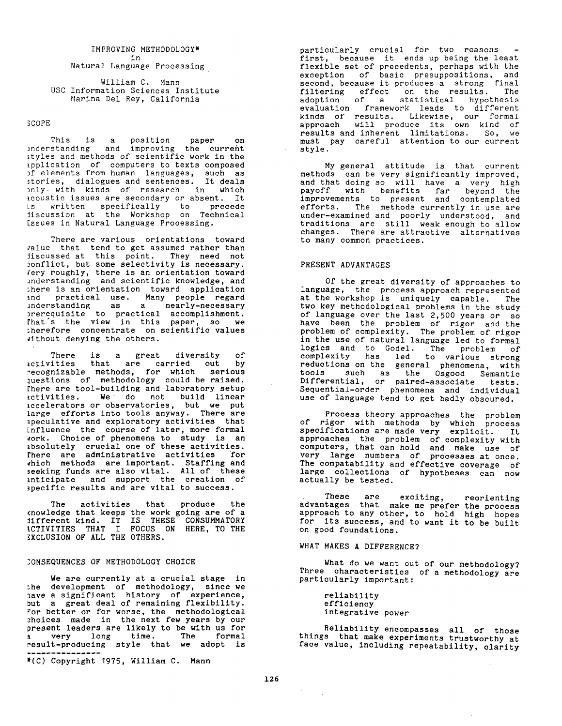# IMPROVING METHODOLOGY\* in

Natural Language Processing

William C. Mann USC Information Sciences Institute Marina Del Rey, California

## SCOPE

This is a position paper on understanding and improving the curreht styles and methods of scientific work in the application of computers to texts composed of elements from human languages, such as stories, dialogues and sentences. It deals only with kinds of research in which acoustic issues are secondary or absent. It is written specifically to precede discussion at the Workshop on Technical Issues in Natural Language Processing.

There are various orientations toward value that tend to get assumed rather than discussed at this point. They need not conflict, but some selectivity is necessary. Very roughly, there is an orientation toward understanding and scientific knowledge, and there is an orientation toward application and practical use. Many people regard understanding as a nearly-necessary prerequisite to practical accomplishment. That's the view in this paper, so we therefore concentrate on scientific values vithout denying the others.

There is a great diversity of activities that are carried out by recognizable methods, for which serious questions of methodology could be raised. There are tool-building and laboratory setup activities. We do not build linear accelerators or observatories, but we put large efforts into tools anyway. There are speculative and exploratory activities that influence the course of later, more formal work. Choice of phenomena to study is an absolutely crucial one of these activities. There are administrative activities for which methods are important. Staffing and seeking funds are also vital. All of these anticipate and support the creation of specific results and are vital to success.

The activities that produce the knowledge that keeps the work going are of a different kind. IT IS THESE CONSUMMATORY ACTIVITIES THAT I FOCUS ON HERE, TO THE EXCLUSION OF ALL THE OTHERS.

#### CONSEQUENCES OF METHODOLOGY CHOICE

We are currently at a crucial stage in the development of methodology, since we have a significant history of experience, but a great deal of remaining flexibility. For better or for worse, the methodological choices made in the next few years by our present leaders are likely to be with us for a very long time. The formal result-produclng style that we adopt is ---------------

\*(C) Copyright 1975, William C. Mann

particularly crucial for two reasons first, because it ends up being the least flexible set of precedents, perhaps with the exception of basic presuppositions, and second, because it produces a strong final filtering effect on the results. The adoption of a statistical hypothesis evaluation framework leads to different kinds of results. Likewise, our formal approach will produce its own kind of results and inherent limitations. So, we must pay careful attention to our current style.

My general attitude is that current methods can be very significantly improved, and that doing so will have a very high payoff with benefits far beyond the improvements to present and contemplated efforts. The methods currently in use are under-examined and poorly understood, and traditions are still weak enough to allow changes. There are attractive alternatives to many common practices.

## PRESENT ADVANTAGES

 $\mathbb{R}^{\mathbb{Z}^2}$ 

Of the great diversity of approaches to language, the process approach represented at the workshop is uniquely capable. The two key methodological problems in the study of language over the last 2,500 years or so have been the problem of rigor and the problem of complexity. The problem of rigor in the use of natural language led to formal logics and to Godel. The problem of complexity has led to various strong reductions on the general phenomena, with tools Such as the Osgood Semantic Differential, or paired-associate tests. Sequential-order phenomena and individual use of language tend to get badly obscured.

Process theory approaches the problem of rigor with methods by which process specifications are made very explicit. It approaches the problem of complexity with computers, that can hold and make use of very large numbers of processes at once. The compatability and effective coverage of large collections of hypotheses can now actually be tested.

These are exciting, reorienting advantages that make me prefer the process approach to any other, to hold high hopes for its success, and to want it to be built on good foundations.

## **WHAT MAKES A DIFFERENCE?**

What do we want out of our methodology? Three characteristics of a methodology are particularly important:

reliability efficiency integrative power

Reliability encompasses all of those things that make experiments trustworthy at face value, including repeatability, clarity

 $\sim 10^{-11}$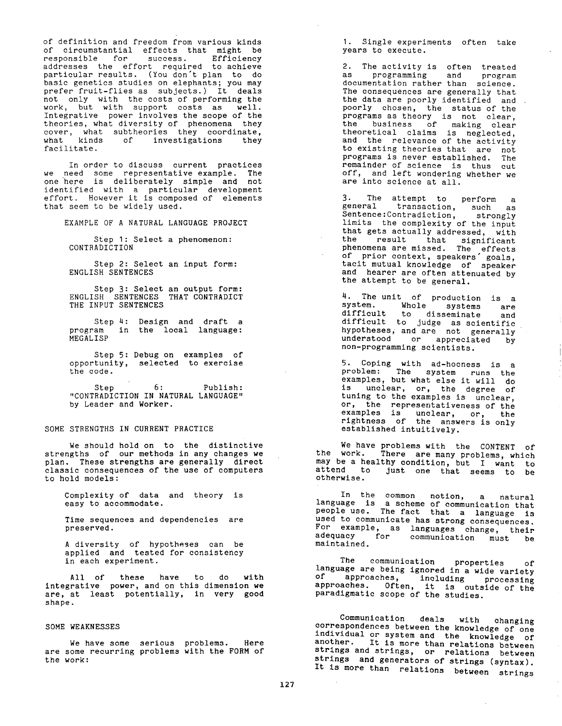of definition and freedom from various kinds of circumstantial effects that might be responsible for success. Efficiency addresses the effort required to achieve particular results. (You don't plan to do basic genetics studies on elephants; you may prefer fruit-flies as subjects.) It deals not only with the costs of performing the work, but with support costs as well. Integrative power involves the scope of the theories, what diversity of phenomena they cover, what subtheories they coordinate, what kinds of investigations they facilitate.

In order to discuss current practices we need some representative example. The one here is deliberately simple and not identified with a particular development effort. However it is composed of elements that seem to be widely used.

EXAMPLE OF A NATURAL LANGUAGE PROJECT

Step I: Select a phenomenon: CONTRADICTION

Step 2: Select an input form: ENGLISH SENTENCES

Step 3: Select an output form: ENGLISH SENTENCES THAT CONTRADICT THE INPUT SENTENCES

Step 4: Design and draft a program in the local language: MEGALISP

Step 5: Debug on examples of opportunity, selected to exercise the code.

Step 6: Publish: "CONTRADICTION IN NATURAL LANGUAGE" by Leader and Worker.

SOME STRENGTHS IN CURRENT PRACTICE

We should hold on to the distinctive strengths of our methods in any changes we plan. These strengths are generally direct classic consequences of the use of computers to hold models:

Complexity of data and theory is easy to accommodate.

Time sequences and dependencies are preserved.

A diversity of hypotheses can be applied and tested for consistency in each experiment.

All of these have to do with integrative power, and on this dimension we are, at least potentially, in very good shape.

#### SOME WEAKNESSES

We have some serious problems. Here are some recurring problems with the FORM of the work:

I. Single experiments often take years to execute.

2. The activity is often treated as programming and program documentation rather than science. The consequences are generally that the data are poorly identified and poorly chosen, the status of the programs as theory is not clear, the business of making clear theoretical claims is neglected, and the relevance of the activity to existing theories that are not programs is never established. The remainder of science is thus cut off, and left wondering whether we are into science at all.

3. The attempt to perform a general transaction, such as Sentence:Contradiction, strongly Sentence: Contradiction, strongly<br>limits the complexity of the input that gets actually addressed, with the result that significant phenomena are missed. The effects of prior context, speakers" goals, tacit mutual knowledge of speaker and hearer are often attenuated by the attempt to be general.

4. The unit of production is a system. Whole systems are difficult to disseminate and difficult to judge as scientific hypotheses, and are not generally understood or appreciated by non-programming scientists.

5. Coping with ad-hocness is a problem: The system runs the examples, but what else it will do is unclear, or, the degree of tuning to the examples is unclear, or, the representativeness of the examples is unclear, or, the rightness of the answers is only established intuitively.

We have problems with the CONTENT of the work. There are many problems, which may be a healthy condition, but I want to attend to just one that seems to be otherwise.

In the common notion, a natural language is a scheme of communication that people use. The fact that a language is used to communicate has strong consequences. For example, as languages change, their adequacy for communication must be maintained.

ine communication properties of language are being ignored in a wide variety of approaches, including processing approaches. Often, it is outside of the paradigmatic scope of the studies.

Communication deals with changing correspondences between the knowledge of one individual or system and the knowledge of another. It is more than relations between strings and strings, or relations between strings and generators of strings (syntax). It is more than relations between strings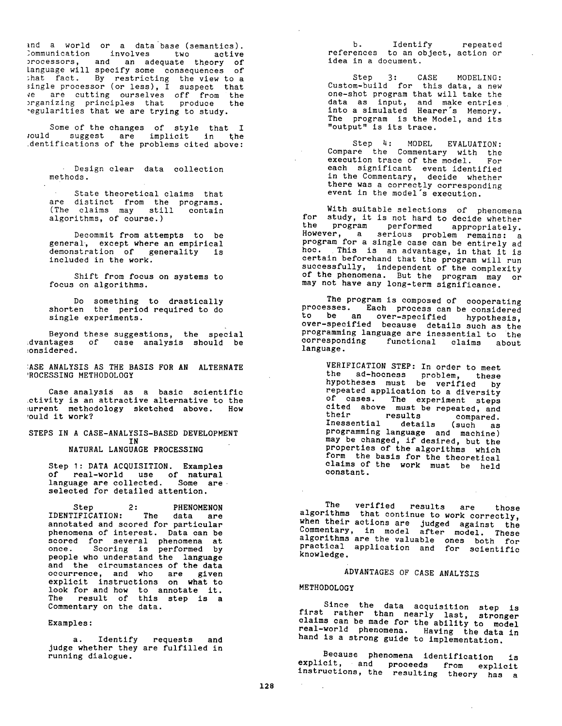and a world or a data base (semantics). Communication involves two active processors, and an adequate theory of language will specify some consequences of that fact. By restricting the view to a single processor (or less), I suspect that ve are cutting ourselves off from the organizing principles that produce the regularities that we are trying to study.

Some of the changes of style that I *rould* suggest are implicit in the identifications of the problems cited above:

> Design clear data collection methods.

> State theoretical claims that are distinct from the programs. (The claims may still contain algorithms, of course.)

> Decommit from attempts to be general, except where an empirical demonstration of generality is included in the work.

> Shift from focus on systems to focus on algorithms.

> Do something to drastically shorten the period required to do single experiments.

Beyond these suggestions, the special advantages of case analysis should be considered.

ASE ANALYSIS AS THE BASIS FOR AN ALTERNATE PROCESSING METHODOLOGY

Case analysis as a basic scientific activity is an attractive alternative to the urrent methodology sketched above. How ould it work?

STEPS IN A CASE-ANALYSIS-BASED DEVELOPMENT IN

**NATURAL LANGUAGE PROCESSING** 

Step 1: DATA ACQUISITION. Examples of real-world use of natural language are collected. Some are selected for detailed attention.

Step 2: PHENOMENON IDENTIFICATION: The data are annotated and scored for particular phenomena of interest. Data can be scored for several phenomena at once. Scoring is performed by people who understand the language and the circumstances of the data occurrence, and who are given explicit instructions on what to look for and how to annotate it. The result of this step is a Commentary on the data.

Examples:

a. Identify requests and judge whether they are fulfilled in running dialogue.

b. Identify repeated references to an object, action or idea in a document.

Step 3: CASE MODELING: Custom-build for this data, a new one-shot program that will take the data as input, and make entries into a simulated Hearer's Memory. The program is the Model, and its "output" is its trace.

Step 4: MODEL EVALUATION: Compare the Commentary with the execution trace of the model. For each significant event identified in the Commentary, decide whether there was a correctly corresponding event in the model's execution.

With suitable selections of phenomena for study, it is not hard to decide whether the program performed appropriately. However, a serious problem remains: a program for a single case can be entirely ad hoc. This is an advantage, in that it is certain beforehand that the program will run successfully, independent of the complexity of the phenomena. But the program may or may not have any long-term significance.

The program is composed of cooperating processes. Each process can be considered to be an over-specified hypothesis, over-specified because details such as the programming language are inessential to the corresponding functional claims about language.

VERIFICATION STEP: In order to meet the ad-hocness problem, these hypotheses must be verified by repeated application to a diversity of cases. The experiment steps cited above must be repeated, and their results compared. Inessential details (such as programming language and machine) may be changed, if desired, but the properties of the algorithms which form the basis for the theoretical claims of the work must be held constant.

ine verified results are those algorithms that continue to work correctly, when their actions are judged against the Commentary, in model after model. These algorithms are the valuable ones both for practical application and for scientific knowledge.

ADVANTAGES OF CASE ANALYSIS

#### METHODOLOGY

Since the data acquisition step is first rather than nearly last, stronger claims can be made for the ability to model real-world phenomena. Having the data in hand is a strong guide to implementation.

Because phenomena identification is explicit, and proceeds from explicit instructions, the resulting theory has a

 $\mathcal{L}$